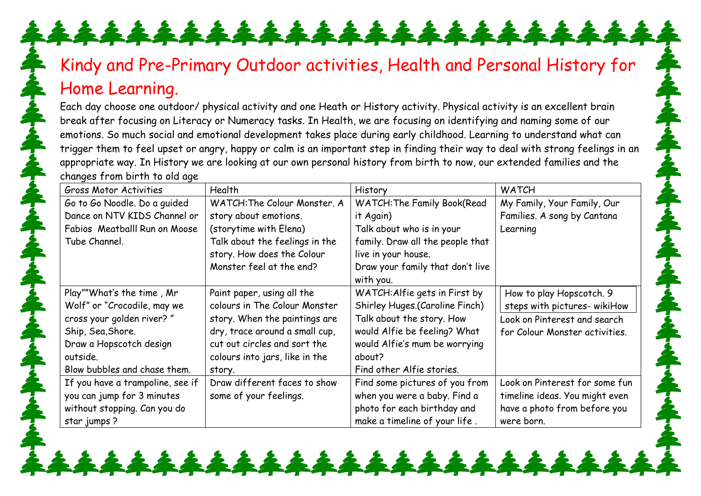## Kindy and Pre-Primary Outdoor activities, Health and Personal History for Home Learning.

\*\*\*\*\*\*\*\*\*\*\*\*\*\*\*\*\*

Each day choose one outdoor/ physical activity and one Heath or History activity. Physical activity is an excellent brain break after focusing on Literacy or Numeracy tasks. In Health, we are focusing on identifying and naming some of our emotions. So much social and emotional development takes place during early childhood. Learning to understand what can trigger them to feel upset or angry, happy or calm is an important step in finding their way to deal with strong feelings in an appropriate way. In History we are looking at our own personal history from birth to now, our extended families and the changes from birth to old age

| <b>Gross Motor Activities</b>    | Health                         | History                            | <b>WATCH</b>                   |
|----------------------------------|--------------------------------|------------------------------------|--------------------------------|
| Go to Go Noodle. Do a quided     | WATCH: The Colour Monster, A   | <b>WATCH: The Family Book(Read</b> | My Family, Your Family, Our    |
| Dance on NTV KIDS Channel or     | story about emotions.          | it Again)                          | Families. A song by Cantana    |
| Fabios Meatballl Run on Moose    | (storytime with Elena)         | Talk about who is in your          | Learning                       |
| Tube Channel.                    | Talk about the feelings in the | family. Draw all the people that   |                                |
|                                  | story. How does the Colour     | live in your house.                |                                |
|                                  | Monster feel at the end?       | Draw your family that don't live   |                                |
|                                  |                                | with you.                          |                                |
| Play""What's the time, Mr        | Paint paper, using all the     | WATCH: Alfie gets in First by      | How to play Hopscotch. 9       |
| Wolf" or "Crocodile, may we      | colours in The Colour Monster  | Shirley Huges.(Caroline Finch)     | steps with pictures- wikiHow   |
| cross your golden river?"        | story. When the paintings are  | Talk about the story. How          | Look on Pinterest and search   |
| Ship, Sea, Shore.                | dry, trace around a small cup, | would Alfie be feeling? What       | for Colour Monster activities. |
| Draw a Hopscotch design          | cut out circles and sort the   | would Alfie's mum be worrying      |                                |
| outside.                         | colours into jars, like in the | about?                             |                                |
| Blow bubbles and chase them.     | story.                         | Find other Alfie stories.          |                                |
| If you have a trampoline, see if | Draw different faces to show   | Find some pictures of you from     | Look on Pinterest for some fun |
| you can jump for 3 minutes       | some of your feelings.         | when you were a baby. Find a       | timeline ideas. You might even |
| without stopping. Can you do     |                                | photo for each birthday and        | have a photo from before you   |
| star jumps?                      |                                | make a timeline of your life.      | were born.                     |